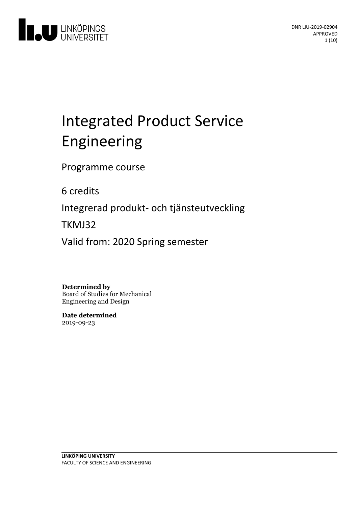

# Integrated Product Service Engineering

Programme course

6 credits

Integrerad produkt- och tjänsteutveckling

TKMJ32

Valid from: 2020 Spring semester

**Determined by**

Board of Studies for Mechanical Engineering and Design

**Date determined** 2019-09-23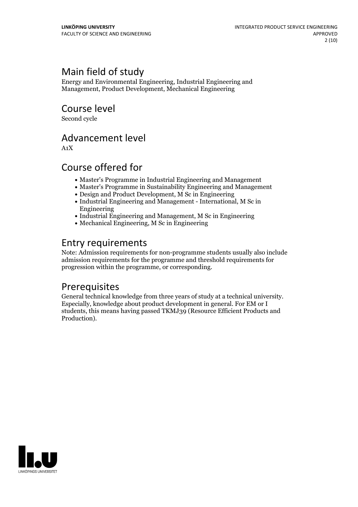# Main field of study

Energy and Environmental Engineering, Industrial Engineering and Management, Product Development, Mechanical Engineering

Course level

Second cycle

# Advancement level

A1X

# Course offered for

- Master's Programme in Industrial Engineering and Management
- Master's Programme in Sustainability Engineering and Management
- Design and Product Development, M Sc in Engineering
- Industrial Engineering and Management International, M Sc in Engineering
- Industrial Engineering and Management, M Sc in Engineering
- Mechanical Engineering, M Sc in Engineering

# Entry requirements

Note: Admission requirements for non-programme students usually also include admission requirements for the programme and threshold requirements for progression within the programme, or corresponding.

## Prerequisites

General technical knowledge from three years of study ata technical university. Especially, knowledge about product development in general. For EM or <sup>I</sup> students, this means having passed TKMJ39 (Resource Efficient Products and Production).

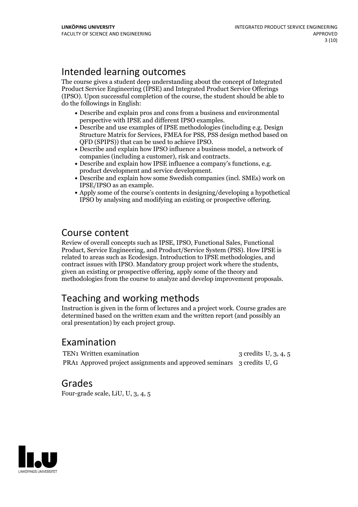# Intended learning outcomes

The course gives a student deep understanding about the concept of Integrated Product Service Engineering (IPSE) and Integrated Product Service Offerings (IPSO). Upon successful completion of the course, the student should be able to do the followings in English:

- Describe and explain pros and cons from a business and environmental
- perspective with IPSE and different IPSO examples.<br>• Describe and use examples of IPSE methodologies (including e.g. Design Structure Matrix for Services, FMEA for PSS, PSS design method based on
- QFD (SPIPS)) that can be used to achieve IPSO.<br>• Describe and explain how IPSO influence a business model, a network of companies (including a customer). risk and contracts.
- Describe and explain how IPSE influence a company's functions, e.g.<br>product development and service development.<br>• Describe and explain how some Swedish companies (incl. SMEs) work on
- IPSE/IPSO as an example.<br>• Apply some of the course's contents in designing/developing a hypothetical
- IPSO by analysing and modifying an existing or prospective offering.

# Course content

Review of overall concepts such as IPSE, IPSO, Functional Sales, Functional Product, Service Engineering, and Product/Service System (PSS). How IPSE is related to areas such as Ecodesign. Introduction to IPSE methodologies, and contract issues with IPSO. Mandatory group project work where the students, given an existing or prospective offering, apply some of the theory and methodologies from the course to analyze and develop improvement proposals.

# Teaching and working methods

Instruction is given in the form of lectures and a project work. Course grades are determined based on the written exam and the written report (and possibly an oral presentation) by each project group.

# Examination

TEN1 Written examination 3 credits U, 3, 4, 5 PRA1 Approved project assignments and approved seminars 3 credits U, G

## Grades

Four-grade scale, LiU, U, 3, 4, 5

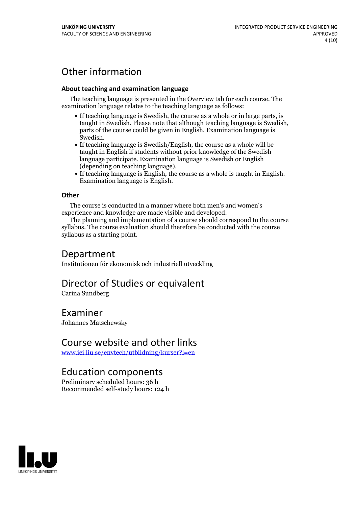# Other information

#### **About teaching and examination language**

The teaching language is presented in the Overview tab for each course. The examination language relates to the teaching language as follows:

- If teaching language is Swedish, the course as a whole or in large parts, is taught in Swedish. Please note that although teaching language is Swedish, parts of the course could be given in English. Examination language is
- Swedish.<br>• If teaching language is Swedish/English, the course as a whole will be taught in English if students without prior knowledge of the Swedish language participate. Examination language is Swedish or English
- (depending on teaching language).<br>
 If teaching language is English, the course as a whole is taught in English.<br>
Examination language is English.

#### **Other**

The course is conducted in a manner where both men's and women's

experience and knowledge are made visible and developed. The planning and implementation of <sup>a</sup> course should correspond to the course syllabus. The course evaluation should therefore be conducted with the course syllabus as a starting point.

### Department

Institutionen för ekonomisk och industriell utveckling

# Director of Studies or equivalent

Carina Sundberg

### Examiner

Johannes Matschewsky

## Course website and other links

[www.iei.liu.se/envtech/utbildning/kurser?l=en](https://studieinfo.liu.se/www.iei.liu.se/envtech/utbildning/kurser?l=en)

## Education components

Preliminary scheduled hours: 36 h Recommended self-study hours: 124 h

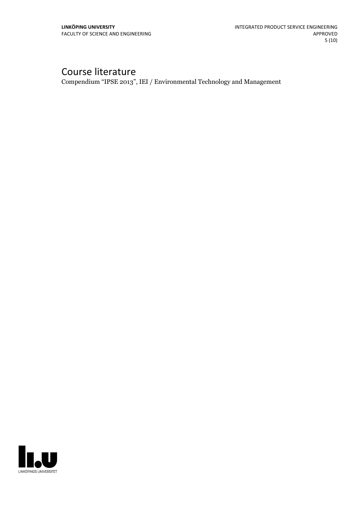# Course literature

Compendium "IPSE 2013", IEI / Environmental Technology and Management

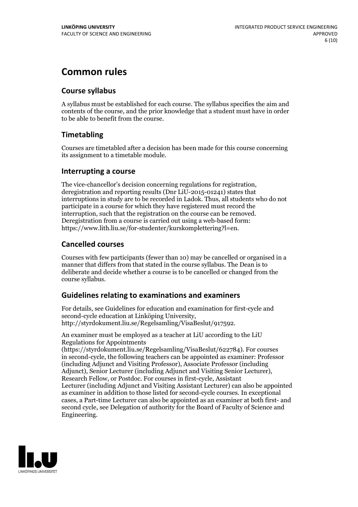# **Common rules**

### **Course syllabus**

A syllabus must be established for each course. The syllabus specifies the aim and contents of the course, and the prior knowledge that a student must have in order to be able to benefit from the course.

### **Timetabling**

Courses are timetabled after a decision has been made for this course concerning its assignment to a timetable module.

### **Interrupting a course**

The vice-chancellor's decision concerning regulations for registration, deregistration and reporting results (Dnr LiU-2015-01241) states that interruptions in study are to be recorded in Ladok. Thus, all students who do not participate in a course for which they have registered must record the interruption, such that the registration on the course can be removed. Deregistration from <sup>a</sup> course is carried outusing <sup>a</sup> web-based form: https://www.lith.liu.se/for-studenter/kurskomplettering?l=en.

### **Cancelled courses**

Courses with few participants (fewer than 10) may be cancelled or organised in a manner that differs from that stated in the course syllabus. The Dean is to deliberate and decide whether a course is to be cancelled or changed from the course syllabus.

### **Guidelines relatingto examinations and examiners**

For details, see Guidelines for education and examination for first-cycle and second-cycle education at Linköping University, http://styrdokument.liu.se/Regelsamling/VisaBeslut/917592.

An examiner must be employed as a teacher at LiU according to the LiU Regulations for Appointments

(https://styrdokument.liu.se/Regelsamling/VisaBeslut/622784). For courses in second-cycle, the following teachers can be appointed as examiner: Professor (including Adjunct and Visiting Professor), Associate Professor (including Adjunct), Senior Lecturer (including Adjunct and Visiting Senior Lecturer), Research Fellow, or Postdoc. For courses in first-cycle, Assistant Lecturer (including Adjunct and Visiting Assistant Lecturer) can also be appointed as examiner in addition to those listed for second-cycle courses. In exceptional cases, a Part-time Lecturer can also be appointed as an examiner at both first- and second cycle, see Delegation of authority for the Board of Faculty of Science and Engineering.

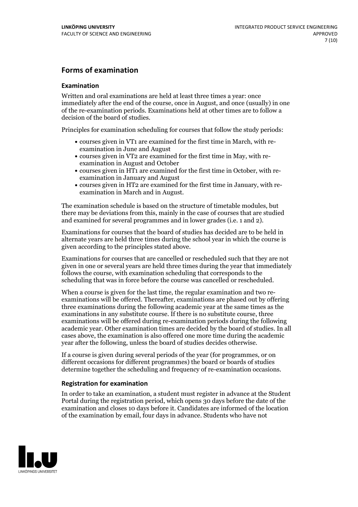### **Forms of examination**

#### **Examination**

Written and oral examinations are held at least three times a year: once immediately after the end of the course, once in August, and once (usually) in one of the re-examination periods. Examinations held at other times are to follow a decision of the board of studies.

Principles for examination scheduling for courses that follow the study periods:

- courses given in VT1 are examined for the first time in March, with re-examination in June and August
- courses given in VT2 are examined for the first time in May, with re-examination in August and October
- courses given in HT1 are examined for the first time in October, with re-examination in January and August
- courses given in HT2 are examined for the first time in January, with re-examination in March and in August.

The examination schedule is based on the structure of timetable modules, but there may be deviations from this, mainly in the case of courses that are studied and examined for several programmes and in lower grades (i.e. 1 and 2).

Examinations for courses that the board of studies has decided are to be held in alternate years are held three times during the school year in which the course is given according to the principles stated above.

Examinations for courses that are cancelled orrescheduled such that they are not given in one or several years are held three times during the year that immediately follows the course, with examination scheduling that corresponds to the scheduling that was in force before the course was cancelled or rescheduled.

When a course is given for the last time, the regular examination and two re-<br>examinations will be offered. Thereafter, examinations are phased out by offering three examinations during the following academic year at the same times as the examinations in any substitute course. If there is no substitute course, three examinations will be offered during re-examination periods during the following academic year. Other examination times are decided by the board of studies. In all cases above, the examination is also offered one more time during the academic year after the following, unless the board of studies decides otherwise.

If a course is given during several periods of the year (for programmes, or on different occasions for different programmes) the board or boards of studies determine together the scheduling and frequency of re-examination occasions.

#### **Registration for examination**

In order to take an examination, a student must register in advance at the Student Portal during the registration period, which opens 30 days before the date of the examination and closes 10 days before it. Candidates are informed of the location of the examination by email, four days in advance. Students who have not

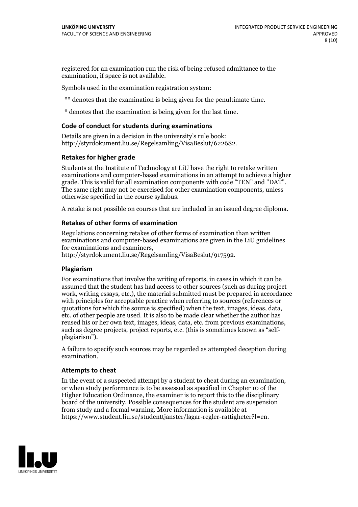registered for an examination run the risk of being refused admittance to the examination, if space is not available.

Symbols used in the examination registration system:

\*\* denotes that the examination is being given for the penultimate time.

\* denotes that the examination is being given for the last time.

#### **Code of conduct for students during examinations**

Details are given in a decision in the university's rule book: http://styrdokument.liu.se/Regelsamling/VisaBeslut/622682.

#### **Retakes for higher grade**

Students at the Institute of Technology at LiU have the right to retake written examinations and computer-based examinations in an attempt to achieve a higher grade. This is valid for all examination components with code "TEN" and "DAT". The same right may not be exercised for other examination components, unless otherwise specified in the course syllabus.

A retake is not possible on courses that are included in an issued degree diploma.

#### **Retakes of other forms of examination**

Regulations concerning retakes of other forms of examination than written examinations and computer-based examinations are given in the LiU guidelines

http://styrdokument.liu.se/Regelsamling/VisaBeslut/917592.

#### **Plagiarism**

For examinations that involve the writing of reports, in cases in which it can be assumed that the student has had access to other sources (such as during project work, writing essays, etc.), the material submitted must be prepared in accordance with principles for acceptable practice when referring to sources (references or quotations for which the source is specified) when the text, images, ideas, data,  $\vec{e}$  etc. of other people are used. It is also to be made clear whether the author has reused his or her own text, images, ideas, data, etc. from previous examinations, such as degree projects, project reports, etc. (this is sometimes known as "self- plagiarism").

A failure to specify such sources may be regarded as attempted deception during examination.

#### **Attempts to cheat**

In the event of <sup>a</sup> suspected attempt by <sup>a</sup> student to cheat during an examination, or when study performance is to be assessed as specified in Chapter <sup>10</sup> of the Higher Education Ordinance, the examiner is to report this to the disciplinary board of the university. Possible consequences for the student are suspension from study and a formal warning. More information is available at https://www.student.liu.se/studenttjanster/lagar-regler-rattigheter?l=en.

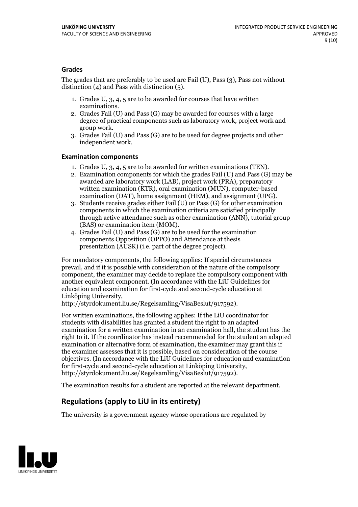#### **Grades**

The grades that are preferably to be used are Fail (U), Pass (3), Pass not without distinction  $(4)$  and Pass with distinction  $(5)$ .

- 1. Grades U, 3, 4, 5 are to be awarded for courses that have written
- examinations. 2. Grades Fail (U) and Pass (G) may be awarded for courses with <sup>a</sup> large degree of practical components such as laboratory work, project work and group work. 3. Grades Fail (U) and Pass (G) are to be used for degree projects and other
- independent work.

#### **Examination components**

- 
- 1. Grades U, 3, 4, <sup>5</sup> are to be awarded for written examinations (TEN). 2. Examination components for which the grades Fail (U) and Pass (G) may be awarded are laboratory work (LAB), project work (PRA), preparatory written examination (KTR), oral examination (MUN), computer-based
- examination (DAT), home assignment (HEM), and assignment (UPG). 3. Students receive grades either Fail (U) or Pass (G) for other examination components in which the examination criteria are satisfied principally through active attendance such as other examination (ANN), tutorial group (BAS) or examination item (MOM). 4. Grades Fail (U) and Pass (G) are to be used for the examination
- components Opposition (OPPO) and Attendance at thesis presentation (AUSK) (i.e. part of the degree project).

For mandatory components, the following applies: If special circumstances prevail, and if it is possible with consideration of the nature of the compulsory component, the examiner may decide to replace the compulsory component with another equivalent component. (In accordance with the LiU Guidelines for education and examination for first-cycle and second-cycle education at Linköping University, http://styrdokument.liu.se/Regelsamling/VisaBeslut/917592).

For written examinations, the following applies: If the LiU coordinator for students with disabilities has granted a student the right to an adapted examination for a written examination in an examination hall, the student has the right to it. If the coordinator has instead recommended for the student an adapted examination or alternative form of examination, the examiner may grant this if the examiner assesses that it is possible, based on consideration of the course objectives. (In accordance with the LiU Guidelines for education and examination for first-cycle and second-cycle education at Linköping University, http://styrdokument.liu.se/Regelsamling/VisaBeslut/917592).

The examination results for a student are reported at the relevant department.

### **Regulations (applyto LiU in its entirety)**

The university is a government agency whose operations are regulated by